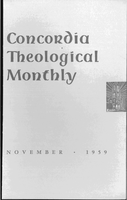# Concordia Theological **Monthly**



E M B E R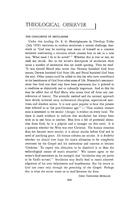## THEOLOGICAL OBSERVER

#### THE CHALLENGE OF SECULARISM

Under this heading Dr. E. G. Homrighausen in *Theology Today*  (July 1959) envisions in modern secularism a certain challenge, inasmuch as "God may be making man aware of himself as a concrete existence confronting a situation which arouses him to ask in a new way, 'What must I do to be saved?'" Whether this is true or not, we shall not decide. But in the writer's description of secularism there occur a number of statements that are worth quoting. Thus we read: "It was Gerald Heard who wrote that Newton banished God from nature, Darwin banished God from life, and Freud banished God from the souL Other names could be added to this list who have contributed to the banishment of God from other areas of life. Nietzsche's announcement that God was dead may have been premature, but it pointed to a condition as objectively real or culturally important. And to this list may be added that of Karl Marx, who wrote God off from any consideration of history. The scientific method and the rational approach have slowly withered away ecclesiastical discipline, supernatural sanctions, and absolute norms. It is now quite popular to hear this present time referred to as 'the post-Christian age.'" - "That modern western man is interested in the secular (things) is evident on every hand. Yet there is much evidence to indicate that secularism has always been with us in one form or another. Man lives a life of perennial alienation from God; he is a pilgrim and a stranger on this earth. It is a question whether the West was ever Christian. The human situation does not become *more* secular; it is *always* secular before God and in need of justifying grace. All human cultures are secular. It is doubtful whether we should ever hope for man's alienation to be completely overcome by the Gospel and his institutions and customs to become 'Christian.' To expect this alienation to be dissolved is to deny the eschatological nature of man's situation." We cannot agree to the writer's final statements as, for example, that "secularism may yet prove to be 'God's servant.''' Secularism may finally lead to man's acknowledgement of his utter helplessness and hopelessness. But his return to God can come only through the preaching of the Gospel. Perhaps that is what the writer wants us to read between the lines.

JOHN THEODORE MUELLER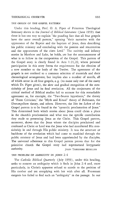#### THE ORIGIN OF THE GOSPEL PATTERN

Under this heading, Prof. o. A. Piper of Princeton Theological Seminary shows in the *Journal of Biblical Literature* (June 1959) that there is but one way to explain "the puzzling fact that all four gospels have the same overall pattern," opening "their narrative with the appearance of the Baptist and the baptism of Jesus, then describing his public ministry and concluding with the passion and resurrection and the appearances of the risen Lord." The nativity and infancy stories in Matthew and Luke, he holds, are but the announcement of what is to follow in the composition of the Gospel. This pattern of the Gospel story is clearly found in Acts 1:21, 22, where personal participation in this story forms the requirement for the election of a new member to the body of the Twelve. The agreement of the gospels is not confined to a common selection of materials and their chronological arrangement, but implies also a number of motifs, all of which occur in all four gospels, e. g. (to name only one of the many which Dr. Piper gives), the slow and gradual recognition of the messiahship of Jesus and its final revelation. All the conjectures of the critical method of Biblical studies fail to account for this remarkable agreement as, for example, the "Two-Source hypothesis," the theory of "Form Criticism," the "Myth and Ritual" theory of Bultmann, the *Urevangelium* theory, and others. However, the *Sitz im Leben* of the Gospel pattern is to be found in the "apostolic proclamation of Jesus." This determined both which stories about Jesus could claim a place in the church's proclamation and what was the specific contribution they made to presenting Jesus as the Christ. This Gospel pattern, moreover, shows that the Jesus whom the disciples proclaimed and confessed as Christ or Lord was the Jesus who had manifested His messiahship in and through His public ministry. It was the structure or backbone of the revelation which had come to mankind through the public ministry of Jesus and had been apprehended by the disciples. The universal adherence to this Gospel pattern proves that for the primitive church the Gospel story had supernatural kerygmatic authority. JOHN THEODORE MUELLER

#### THE PROBLEM OF AMBIGUITY IN JOHN 2:4

The *Catholic Biblical Quarterly* (July 1959), under this heading, seeks to remove an ambiguity which it finds in John 2:4 and, more particularly, in Christ's apparent refusal to accede to the petition of His mother and yet complying with her wish after all. Protestant exegesis has failed to find such an "ambiguity" in the passage. In our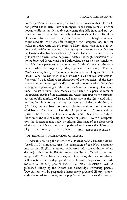Lord's question it has always perceived an intimation that He could not permit her to direct Him with regard to the exercise of His divine power, while in the declarative statement that His hour had not yet come to furnish wine by a miracle and so to show forth His glory, He shows His readiness to help in His own time. Mary's command to the servants (v. 5) goes far to support this interpretation. But the writer says that with Christ's reply to Mary "there remains a high degree of dissatisfaction among both exegetes and mariologists with every explanation that has been advanced," as the frequent treatment of the problem by Roman Catholics proves. After a thorough discussion of all points involved in the verse for Mariologists, he reaches the conclusion that John here perceives a divine pattern in Mary's conduct, the same pattern which he suggests by Mary's presence on Calvary. This becomes clear especially if the verse is taken as a double question in the sense: "What do you wish of me, woman? Has not my hour come?" But even if 4b is taken as an affirmation of the nonarrival of the hour, it seems to be the evangelist's distillation of a mystery which he wishes to suggest as pertaining to Mary eminently in the economy of redemption. The word yuvn limns Mary as the bearer in a peculiar sense of the spiritual goods of the Messianic era, which belonged to her throughout the public ministry of Jesus, and especially at the Cross, and which remains her function as long as the "woman clothed with the sun" (Ap. 12), the new Israel, continues to be in travail and in the anguish of delivery. The new Israel of the NT presents the Messias and the spiritual benefits of the last days to the world. She does so only in function of the role of Mary, the mother of Jesus. - To this interpretation the Protestant may reply by asking: But what of the clear words of the text, which say the very opposite of such a role that Mary is to play in the economy of redemption? JOHN THEODORE MUELLER

#### NEW TESTAMENT TRANSLATIONS COMPLETED

Under this heading the International Journal *New Testament Studies*  (April 1959) announces that "the translation of the New Testament into current English, a project undertaken with the authority of all the major churches in Britain, except the Roman Catholic, has been completed." Made from the original Greek text, the new translation will now be revised and prepared for publication. Copies will be ready for sale in the early part of 1961. The "New Translation" will be published jointly by the Oxford and Cambridge University presses. Two editions will be prepared: a handsomely produced library volume, with the translators' notes, and a popular edition in a smaller format.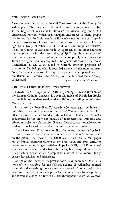Later the new translation of the Old Testament and of the Apocrypha will appear. The purpose of the undertaking is to provide a Bible in the English of today and to eliminate the archaic language of the Authorized Version, which, it is thought, encourages in many people the feeling that the Scriptures have little relevance to our age. Experimental translations of some passages were made a number of years ago by a group of scholars at Oxford and Cambridge universities. Then the Church of Scotland made an approach to the other churches on the subject, with the result that in 1947 the churches accepted a recommendation of the conference that a completely new translation from the original text was required. The general director of the "New Translation" is Dr. C. H. Dodd of Oxford, emeritus professor of divinity at Cambridge, who is regarded as one of the most eminent New Testament scholars of today. The project is supported also by the British and Foreign Bible Society and the National Bible Society of Scotland. The Scotland of Scotland.

#### BRIEF ITEMS FROM RELIGIOUS NEWS SERVICE

Vatican City. - Pope John XXIII is planning a drastic revision of the Roman Catholic Church's 400-year-old Index of Forbidden Books in the light of modern needs and conditions, according to informed Vatican sources.

Introduced by Pope Paul IV exactly 400 years ago, the index is published by a special section of the Sacred Congregation of the Holy Office at present headed by Msgr. Mario Crovini. It is a list of books condemned by the Holy See because of their heretical, immoral, and otherwise objectionable nature. Roman Catholics are not allowed to read such books without valid reason and special permission.

There have been 31 editions in all of the index, the last dating back to 1948. In recent years the index has been criticized as "anachronistic" on the ground that most of the 6,000 works listed on its 508 pages are by largely unknown writers of the 17th, 18th, and 19th centuries whose works are no longer available. Pope Leo XIII, in 1881, removed a number of obscure works from the index, but many others remain. They include books which championed ideas of little interest today except for scholars and historians.

Critics of the index in its present form have contended that it is not sufficient warning for the faithful against objectionable printed material, and something more extensive is needed. Another point they have made is that the index is printed in Latin, with an Italian preface, and is available only in a few bookstores throughout the world. Accord-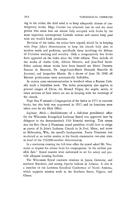ing to the critics, the chief need is to keep adequately abreast of contemporary works. Msgr. Crovini has admitted that he and the three priests who assist him are almost fully occupied with books by the most important contemporary Catholic authors and cannot keep pace with the world's book production.

Revision of the index, the critics have argued, would be in keeping with Pope John's determination to keep the church fully alert to modern needs and problems, specifically those involving the defense of Christian teaching and morality. Only a comparatively few books have appeared on the index since the 1948 edition. They include all the works of Andre Gide, Alberto Moravia, and Jean-Paul Sartre. Other authors whose works have been banned are Henri Dumery, Simone de Beauvoir, Dr. Ange-Louis-Marie Hesnard, Marcelle de Jouvenel, and Jacqueline Martin. By a decree of June 28, 1949, all Marxist publications were automatically forbidden.

**In** certain cases excommunication *is* involved when a Roman Catholic reads a forbidden book. The index proscription also applies to printed images of Christ, the Blessed Virgin, the angels, saints, or other servants of God which are not in keeping with the teachings of the church.

Pope Pius V created a Congregation of the Index in 1571 to examine books, but this body was suppressed in 1917, and its functions were taken over by the Holy Office.

Saginaw, Mich. - Establishment of a full-time presidential office for the Wisconsin Evangelical Lutheran Synod was approved here by delegates to the denomination's 35th biennial meeting. This means that the Rev. Oscar J. Naumann, synod president, would have to resign as pastor of St. John's Lutheran Church in St. Paul, Minn., and move to Milwaukee, Wis., the synod's headquarters. Pastor Naumann was re-elected at an earlier session to his fourth consecutive two-year term as head of the 350,OOO-member denomination.

In a resolution creating the full-time office the synod asked Mr. Naumann to request his release from his congregation "at the earliest possible date." Synod trustees were authorized to set his salary and provide adequate housing facilities.

The Wisconsin Synod conducts missions in Japan, Germany, and northern Rhodesia, and among Apache Indians in Arizona. It also is a member of the Lutheran Synodical Conference of North America, which supports mission work in the Southern States, Nigeria, and Ghana.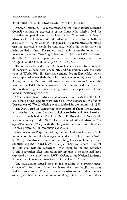#### THEOLOGICAL OBSERVER 859

### BRIEF ITEMS FROM THE NATIONAL LUTHERAN COUNCIL

*Nyborg, Denmark.-A* recommendation that the National Lutheran Council continue its trusteeship of the Tanganyika mission field for an indefinite period was passed here by the Commission of World Mission of the Lutheran World Federation. Passed after a half-day discussion of the situation in Tanganyika, the recommendation stated that the trusteeship should be continued "while the whole matter is being studied further." The subject was brought before the commission, in session here July 29-Aug. 5, because in 1957 the LWF had asked the NLC "to continue supervision of the work in Tanganyika ... as an agent for the CWM for a period of two years."

The missions, located in the Northern Usambara and Uzaramo fields of Tanganyika, have been under NLC administration since the early years of World War **II.** They were among five in East Africa which were orphaned when their ties with the home countries were cut off during and after the war. All five are now administered under the name of the LWF, the others - one in the Buhaya field, the other in the southern highland area-being under the supervision of the Swedish missionary societies.

Other war-orphaned African and Asian mission fields that the NLC had been helping support were made an LWF responsibility after its Department of World Mission was organized in the autumn of 1952.

The NLC's staff in Tanganyika now consists of about 100 Lutheran missionaries from nine European mission societies and five American Lutheran church bodies. The Rev. Oscar R. Rolander of New York, who is secretary of the NLC's Department of World Missions Cooperation, works closely with the Tanganyika missions and churches. He was present at the commission discussion.

*Copenhagen.* — Ways for making the best Lutheran books available in more of the world's languages were discussed here July 27-28 by 24 representatives of Lutheran publishing houses in four European countries and the United States. The publishers' conference - first of its kind ever held by Lutherans - was organized by the Lutheran World Federation after interest in having such a meeting had been expressed by the committee on LWF relations of the National Lutheran Editors' and Managers' Association of the United States.

The participants agreed here on the necessity of a greater interchange of information about new books that they publish or have under consideration. This will enable translations into other tongues to be published with a minimum of delay. Their discussions dealt